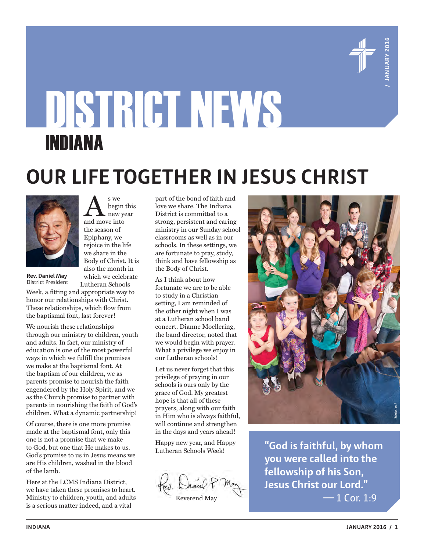

# DISTRICT NEWS INDIANA

# **OUR LIFE TOGETHER IN JESUS CHRIST**



A s we<br>and move into begin this new year the season of Epiphany, we rejoice in the life we share in the Body of Christ. It is also the month in which we celebrate

**Rev. Daniel May** District President

Lutheran Schools Week, a fitting and appropriate way to honor our relationships with Christ. These relationships, which flow from the baptismal font, last forever!

We nourish these relationships through our ministry to children, youth and adults. In fact, our ministry of education is one of the most powerful ways in which we fulfill the promises we make at the baptismal font. At the baptism of our children, we as parents promise to nourish the faith engendered by the Holy Spirit, and we as the Church promise to partner with parents in nourishing the faith of God's children. What a dynamic partnership!

Of course, there is one more promise made at the baptismal font, only this one is not a promise that we make to God, but one that He makes to us. God's promise to us in Jesus means we are His children, washed in the blood of the lamb.

Here at the LCMS Indiana District, we have taken these promises to heart. Ministry to children, youth, and adults is a serious matter indeed, and a vital

part of the bond of faith and love we share. The Indiana District is committed to a strong, persistent and caring ministry in our Sunday school classrooms as well as in our schools. In these settings, we are fortunate to pray, study, think and have fellowship as the Body of Christ.

As I think about how fortunate we are to be able to study in a Christian setting, I am reminded of the other night when I was at a Lutheran school band concert. Dianne Moellering, the band director, noted that we would begin with prayer. What a privilege we enjoy in our Lutheran schools!

Let us never forget that this privilege of praying in our schools is ours only by the grace of God. My greatest hope is that all of these prayers, along with our faith in Him who is always faithful, will continue and strengthen in the days and years ahead!

Happy new year, and Happy Lutheran Schools Week!

Reverend May



**"God is faithful, by whom you were called into the fellowship of his Son, Jesus Christ our Lord."** — 1 Cor. 1:9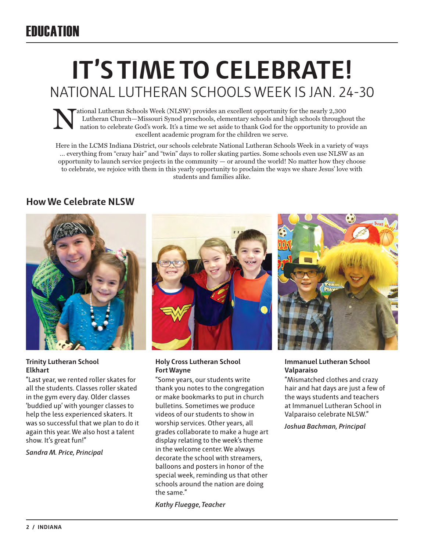# **IT'S TIME TO CELEBRATE!**  NATIONAL LUTHERAN SCHOOLS WEEK IS JAN. 24-30

ational Lutheran Schools Week (NLSW) provides an excellent opportunity for the nearly 2,300 Lutheran Church—Missouri Synod preschools, elementary schools and high schools throughout the nation to celebrate God's work. It's a time we set aside to thank God for the opportunity to provide an excellent academic program for the children we serve.

Here in the LCMS Indiana District, our schools celebrate National Lutheran Schools Week in a variety of ways … everything from "crazy hair" and "twin" days to roller skating parties. Some schools even use NLSW as an opportunity to launch service projects in the community — or around the world! No matter how they choose to celebrate, we rejoice with them in this yearly opportunity to proclaim the ways we share Jesus' love with students and families alike.

#### **How We Celebrate NLSW**



#### **Trinity Lutheran School Elkhart**

"Last year, we rented roller skates for all the students. Classes roller skated in the gym every day. Older classes 'buddied up' with younger classes to help the less experienced skaters. It was so successful that we plan to do it again this year. We also host a talent show. It's great fun!"

*Sandra M. Price, Principal*



#### **Holy Cross Lutheran School Fort Wayne**

"Some years, our students write thank you notes to the congregation or make bookmarks to put in church bulletins. Sometimes we produce videos of our students to show in worship services. Other years, all grades collaborate to make a huge art display relating to the week's theme in the welcome center. We always decorate the school with streamers, balloons and posters in honor of the special week, reminding us that other schools around the nation are doing the same."

*Kathy Fluegge, Teacher*



#### **Immanuel Lutheran School Valparaiso**

"Mismatched clothes and crazy hair and hat days are just a few of the ways students and teachers at Immanuel Lutheran School in Valparaiso celebrate NLSW."

*Joshua Bachman, Principal*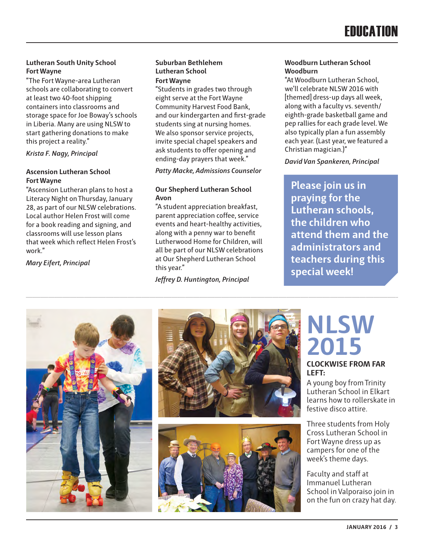#### **Lutheran South Unity School Fort Wayne**

"The Fort Wayne-area Lutheran schools are collaborating to convert at least two 40-foot shipping containers into classrooms and storage space for Joe Boway's schools in Liberia. Many are using NLSW to start gathering donations to make this project a reality."

*Krista F. Nagy, Principal*

#### **Ascension Lutheran School Fort Wayne**

"Ascension Lutheran plans to host a Literacy Night on Thursday, January 28, as part of our NLSW celebrations. Local author Helen Frost will come for a book reading and signing, and classrooms will use lesson plans that week which reflect Helen Frost's work."

*Mary Eifert, Principal*

#### **Suburban Bethlehem Lutheran School Fort Wayne**

"Students in grades two through eight serve at the Fort Wayne Community Harvest Food Bank, and our kindergarten and first-grade students sing at nursing homes. We also sponsor service projects, invite special chapel speakers and ask students to offer opening and ending-day prayers that week."

#### *Patty Macke, Admissions Counselor*

#### **Our Shepherd Lutheran School Avon**

"A student appreciation breakfast, parent appreciation coffee, service events and heart-healthy activities, along with a penny war to benefit Lutherwood Home for Children, will all be part of our NLSW celebrations at Our Shepherd Lutheran School this year."

*Jeffrey D. Huntington, Principal*

#### **Woodburn Lutheran School Woodburn**

"At Woodburn Lutheran School, we'll celebrate NLSW 2016 with [themed] dress-up days all week, along with a faculty vs. seventh/ eighth-grade basketball game and pep rallies for each grade level. We also typically plan a fun assembly each year. (Last year, we featured a Christian magician.)"

*David Van Spankeren, Principal*

**Please join us in praying for the Lutheran schools, the children who attend them and the administrators and teachers during this special week!**







# **NLSW 2015**

#### **CLOCKWISE FROM FAR LEFT:**

A young boy from Trinity Lutheran School in Elkart learns how to rollerskate in festive disco attire.

Three students from Holy Cross Lutheran School in Fort Wayne dress up as campers for one of the week's theme days.

Faculty and staff at Immanuel Lutheran School in Valporaiso join in on the fun on crazy hat day.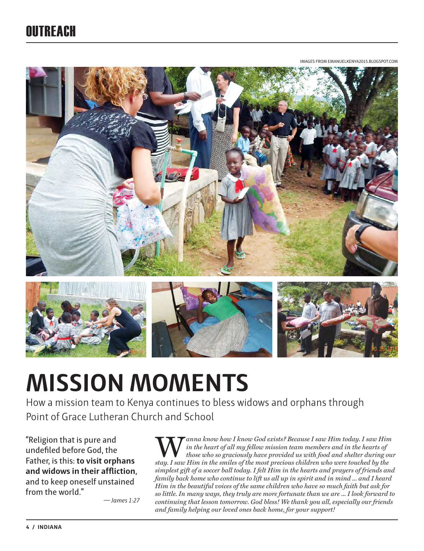## OUTREACH

IMAGES FROM EMANUELKENYA2015.BLOGSPOT.COM



# **MISSION MOMENTS**

How a mission team to Kenya continues to bless widows and orphans through Point of Grace Lutheran Church and School

"Religion that is pure and undefiled before God, the Father, is this: **to visit orphans and widows in their affliction**, and to keep oneself unstained from the world."

*— James 1:27* 

Wanna know how I know God exists? Because I saw Him today. I saw Him in the heart of all my fellow mission team members and in the hearts of those who so graciously have provided us with food and shelter during out that  $I$ *in the heart of all my fellow mission team members and in the hearts of those who so graciously have provided us with food and shelter during our stay. I saw Him in the smiles of the most precious children who were touched by the simplest gift of a soccer ball today. I felt Him in the hearts and prayers of friends and family back home who continue to lift us all up in spirit and in mind ... and I heard Him in the beautiful voices of the same children who have so much faith but ask for so little. In many ways, they truly are more fortunate than we are ... I look forward to continuing that lesson tomorrow. God bless! We thank you all, especially our friends and family helping our loved ones back home, for your support!*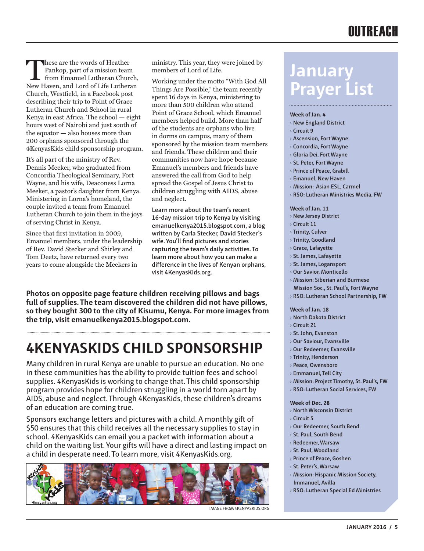## **OUTREACH**

These are the words of Heather<br>Pankop, part of a mission team<br>from Emanuel Lutheran Chure<br>New Haven and Lord of Life Luthera Pankop, part of a mission team from Emanuel Lutheran Church, New Haven, and Lord of Life Lutheran Church, Westfield, in a Facebook post describing their trip to Point of Grace Lutheran Church and School in rural Kenya in east Africa. The school — eight hours west of Nairobi and just south of the equator — also houses more than 200 orphans sponsored through the 4KenyasKids child sponsorship program.

It's all part of the ministry of Rev. Dennis Meeker, who graduated from Concordia Theological Seminary, Fort Wayne, and his wife, Deaconess Lorna Meeker, a pastor's daughter from Kenya. Ministering in Lorna's homeland, the couple invited a team from Emanuel Lutheran Church to join them in the joys of serving Christ in Kenya.

Since that first invitation in 2009, Emanuel members, under the leadership of Rev. David Stecker and Shirley and Tom Deetz, have returned every two years to come alongside the Meekers in

ministry. This year, they were joined by members of Lord of Life.

Working under the motto "With God All Things Are Possible," the team recently spent 16 days in Kenya, ministering to more than 500 children who attend Point of Grace School, which Emanuel members helped build. More than half of the students are orphans who live in dorms on campus, many of them sponsored by the mission team members and friends. These children and their communities now have hope because Emanuel's members and friends have answered the call from God to help spread the Gospel of Jesus Christ to children struggling with AIDS, abuse and neglect.

**Learn more about the team's recent 16-day mission trip to Kenya by visiting emanuelkenya2015.blogspot.com, a blog written by Carla Stecker, David Stecker's wife. You'll find pictures and stories capturing the team's daily activities. To learn more about how you can make a difference in the lives of Kenyan orphans, visit 4KenyasKids.org.**

**Photos on opposite page feature children receiving pillows and bags full of supplies. The team discovered the children did not have pillows, so they bought 300 to the city of Kisumu, Kenya. For more images from the trip, visit emanuelkenya2015.blogspot.com.**

## **4KENYASKIDS CHILD SPONSORSHIP**

Many children in rural Kenya are unable to pursue an education. No one in these communities has the ability to provide tuition fees and school supplies. 4KenyasKids is working to change that. This child sponsorship program provides hope for children struggling in a world torn apart by AIDS, abuse and neglect. Through 4KenyasKids, these children's dreams of an education are coming true.

Sponsors exchange letters and pictures with a child. A monthly gift of \$50 ensures that this child receives all the necessary supplies to stay in school. 4KenyasKids can email you a packet with information about a child on the waiting list. Your gifts will have a direct and lasting impact on a child in desperate need. To learn more, visit 4KenyasKids.org.



# **January Prayer List**

#### **Week of Jan. 4**

- › **New England District**
- › **Circuit 9**
- › **Ascension, Fort Wayne**
- › **Concordia, Fort Wayne**
- › **Gloria Dei, Fort Wayne**
- › **St. Peter, Fort Wayne**
- › **Prince of Peace, Grabill**
- › **Emanuel, New Haven**
- › **Mission: Asian ESL, Carmel**
- › **RSO: Lutheran Ministries Media, FW**

#### **Week of Jan. 11**

- › **New Jersey District**
- › **Circuit 11**
- › **Trinity, Culver**
- › **Trinity, Goodland**
- › **Grace, Lafayette**
- › **St. James, Lafayette**
- › **St. James, Logansport**
- › **Our Savior, Monticello**
- › **Mission: Siberian and Burmese**
- **Mission Soc., St. Paul's, Fort Wayne**
- › **RSO: Lutheran School Partnership, FW**

#### **Week of Jan. 18**

- › **North Dakota District**
- › **Circuit 21**
- › **St. John, Evanston**
- › **Our Saviour, Evansville**
- › **Our Redeemer, Evansville**
- › **Trinity, Henderson**
- › **Peace, Owensboro**
- › **Emmanuel, Tell City**
- › **Mission: Project Timothy, St. Paul's, FW**
- › **RSO: Lutheran Social Services, FW**

#### **Week of Dec. 28**

- › **North Wisconsin District**
- › **Circuit 5**
- › **Our Redeemer, South Bend**
- › **St. Paul, South Bend**
- › **Redeemer, Warsaw**
- › **St. Paul, Woodland**
- › **Prince of Peace, Goshen**
- › **St. Peter's, Warsaw**
- › **Mission: Hispanic Mission Society, Immanuel, Avilla**
- › **RSO: Lutheran Special Ed Ministries**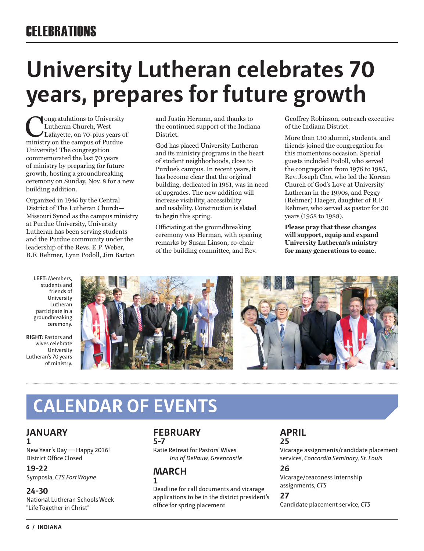# **University Lutheran celebrates 70 years, prepares for future growth**

**Congratulations to University<br>Lutheran Church, West<br>Lafayette, on 70-plus years of<br>ministry on the campus of Purdue** Lutheran Church, West ministry on the campus of Purdue University! The congregation commemorated the last 70 years of ministry by preparing for future growth, hosting a groundbreaking ceremony on Sunday, Nov. 8 for a new building addition.

Organized in 1945 by the Central District of The Lutheran Church— Missouri Synod as the campus ministry at Purdue University, University Lutheran has been serving students and the Purdue community under the leadership of the Revs. E.P. Weber, R.F. Rehmer, Lynn Podoll, Jim Barton

**LEFT:** Members, students and friends of University Lutheran participate in a groundbreaking ceremony.

**RIGHT:** Pastors and wives celebrate University Lutheran's 70 years of ministry.

and Justin Herman, and thanks to the continued support of the Indiana District.

God has placed University Lutheran and its ministry programs in the heart of student neighborhoods, close to Purdue's campus. In recent years, it has become clear that the original building, dedicated in 1951, was in need of upgrades. The new addition will increase visibility, accessibility and usability. Construction is slated to begin this spring.

Officiating at the groundbreaking ceremony was Herman, with opening remarks by Susan Linson, co-chair of the building committee, and Rev.

Geoffrey Robinson, outreach executive of the Indiana District.

More than 130 alumni, students, and friends joined the congregation for this momentous occasion. Special guests included Podoll, who served the congregation from 1976 to 1985, Rev. Joseph Cho, who led the Korean Church of God's Love at University Lutheran in the 1990s, and Peggy (Rehmer) Haeger, daughter of R.F. Rehmer, who served as pastor for 30 years (1958 to 1988).

**Please pray that these changes will support, equip and expand University Lutheran's ministry for many generations to come.**



# **CALENDAR OF EVENTS**

#### **JANUARY 1**

New Year's Day — Happy 2016! District Office Closed

**19-22** Symposia, *CTS Fort Wayne*

#### **24-30**

National Lutheran Schools Week "Life Together in Christ"

#### **FEBRUARY 5-7**

Katie Retreat for Pastors' Wives *Inn of DePauw, Greencastle*

#### **MARCH 1**

Deadline for call documents and vicarage applications to be in the district president's office for spring placement

#### **APRIL 25**

Vicarage assignments/candidate placement services, *Concordia Seminary, St. Louis*

#### **26**

Vicarage/ceaconess internship assignments, *CTS*

#### **27**

Candidate placement service, *CTS*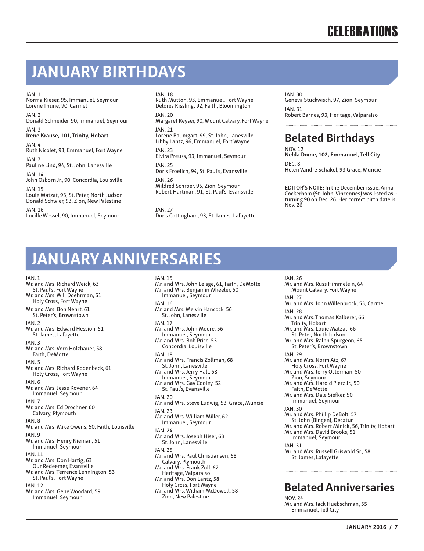## **JANUARY BIRTHDAYS**

 $IAN.1$ 

Norma Kieser, 95, Immanuel, Seymour Lorene Thune, 90, Carmel

 $IAN.2$ Donald Schneider, 90, Immanuel, Seymour

JAN. 3 **Irene Krause, 101, Trinity, Hobart**

JAN. 4 Ruth Nicolet, 93, Emmanuel, Fort Wayne JAN. 7

Pauline Lind, 94, St. John, Lanesville

JAN. 14 John Osborn Jr., 90, Concordia, Louisville JAN. 15

Louie Matzat, 93, St. Peter, North Judson Donald Schwier, 93, Zion, New Palestine

JAN. 16 Lucille Wessel, 90, Immanuel, Seymour

#### JAN. 18

JAN. 15

Ruth Mutton, 93, Emmanuel, Fort Wayne Delores Kissling, 92, Faith, Bloomington JAN. 20

Margaret Keyser, 90, Mount Calvary, Fort Wayne JAN. 21

Lorene Baumgart, 99, St. John, Lanesville Libby Lantz, 96, Emmanuel, Fort Wayne

JAN. 23 Elvira Preuss, 93, Immanuel, Seymour

JAN. 25 Doris Froelich, 94, St. Paul's, Evansville JAN. 26

Mildred Schroer, 95, Zion, Seymour Robert Hartman, 91, St. Paul's, Evansville

JAN. 27 Doris Cottingham, 93, St. James, Lafayette

#### JAN. 30

Geneva Stuckwisch, 97, Zion, Seymour JAN. 31 Robert Barnes, 93, Heritage, Valparaiso

## **Belated Birthdays**

NOV. 12 **Nelda Dome, 102, Emmanuel, Tell City** DEC. 8 Helen Vandre Schakel, 93 Grace, Muncie

**EDITOR'S NOTE:** In the December issue, Anna Cockerham (St. John, Vincennes) was listed as turning 90 on Dec. 26. Her correct birth date is Nov. 26.

# **JANUARY ANNIVERSARIES**

JAN. 1 Mr. and Mrs. Richard Weick, 63 St. Paul's, Fort Wayne Mr. and Mrs. Will Doehrman, 61 Holy Cross, Fort Wayne Mr. and Mrs. Bob Nehrt, 61 St. Peter's, Brownstown JAN. 2 Mr. and Mrs. Edward Hession, 51 St. James, Lafayette JAN. 3 Mr. and Mrs. Vern Holzhauer, 58 Faith, DeMotte JAN. 5 Mr. and Mrs. Richard Rodenbeck, 61 Holy Cross, Fort Wayne JAN. 6 Mr. and Mrs. Jesse Kovener, 64 Immanuel, Seymour JAN. 7 Mr. and Mrs. Ed Drochner, 60 Calvary, Plymouth JAN. 8 Mr. and Mrs. Mike Owens, 50, Faith, Louisville JAN. 9 Mr. and Mrs. Henry Nieman, 51 Immanuel, Seymour JAN. 11 Mr. and Mrs. Don Hartig, 63 Our Redeemer, Evansville Mr. and Mrs. Terrence Lennington, 53 St. Paul's, Fort Wayne JAN. 12 Mr. and Mrs. Gene Woodard, 59 Immanuel, Seymour

Mr. and Mrs. John Leisge, 61, Faith, DeMotte Mr. and Mrs. Benjamin Wheeler, 50 Immanuel, Seymour JAN. 16 Mr. and Mrs. Melvin Hancock, 56 St. John, Lanesville JAN. 17 Mr. and Mrs. John Moore, 56 Immanuel, Seymour Mr. and Mrs. Bob Price, 53 Concordia, Louisville JAN. 18 Mr. and Mrs. Francis Zollman, 68 St. John, Lanesville Mr. and Mrs. Jerry Hall, 58 Immanuel, Seymour Mr. and Mrs. Gay Cooley, 52 St. Paul's, Evansville JAN. 20 Mr. and Mrs. Steve Ludwig, 53, Grace, Muncie JAN. 23 Mr. and Mrs. William Miller, 62 Immanuel, Seymour JAN. 24 Mr. and Mrs. Joseph Hiser, 63 St. John, Lanesville JAN. 25 Mr. and Mrs. Paul Christiansen, 68 Calvary, Plymouth Mr. and Mrs. Frank Zoll, 62 Heritage, Valparaiso Mr. and Mrs. Don Lantz, 58 Holy Cross, Fort Wayne Mr. and Mrs. William McDowell, 58 Zion, New Palestine

JAN. 26 Mr. and Mrs. Russ Himmelein, 64 Mount Calvary, Fort Wayne IAN<sub>27</sub> Mr. and Mrs. John Willenbrock, 53, Carmel JAN. 28 Mr. and Mrs. Thomas Kalberer, 66 Trinity, Hobart Mr. and Mrs. Louie Matzat, 66 St. Peter, North Judson Mr. and Mrs. Ralph Spurgeon, 65 St. Peter's, Brownstown JAN. 29 Mr. and Mrs. Norm Atz, 67 Holy Cross, Fort Wayne Mr. and Mrs. Jerry Osterman, 50 Zion, Seymour Mr. and Mrs. Harold Pierz Jr., 50 Faith, DeMotte Mr. and Mrs. Dale Siefker, 50 Immanuel, Seymour JAN. 30 Mr. and Mrs. Phillip DeBolt, 57 St. John (Bingen), Decatur Mr. and Mrs. Robert Minick, 56, Trinity, Hobart Mr. and Mrs. David Brooks, 51 Immanuel, Seymour JAN. 31 Mr. and Mrs. Russell Griswold Sr., 58 St. James, Lafayette

### **Belated Anniversaries**

NOV. 24 Mr. and Mrs. Jack Huebschman, 55 Emmanuel, Tell City